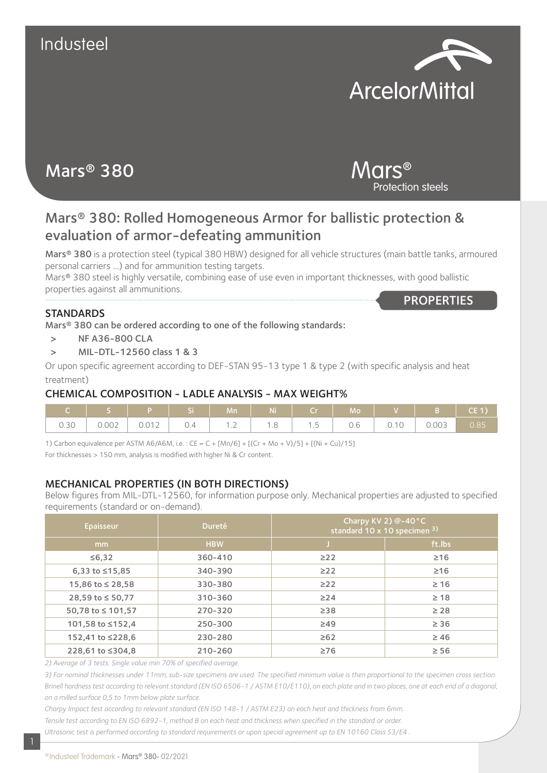

# Mars® 380

## Mars® Protection steels

## Mars® 380: Rolled Homogeneous Armor for ballistic protection & evaluation of armor-defeating ammunition

Mars® 380 is a protection steel (typical 380 HBW) designed for all vehicle structures (main battle tanks, armoured personal carriers …) and for ammunition testing targets.

Mars® 380 steel is highly versatile, combining ease of use even in important thicknesses, with good ballistic properties against all ammunitions. **PROPERTIES** 

#### **STANDARDS**

Mars® 380 can be ordered according to one of the following standards:

- > NF A36-800 CLA
- > MIL-DTL-12560 class 1 & 3

Or upon specific agreement according to DEF-STAN 95-13 type 1 & type 2 (with specific analysis and heat treatment)

#### CHEMICAL COMPOSITION - LADLE ANALYSIS - MAX WEIGHT%

| C   S   P   Si   Mn   Ni   Cr   Mo   V   B   CE1) |  |  |  |  |  |
|---------------------------------------------------|--|--|--|--|--|
|                                                   |  |  |  |  |  |

1) Carbon equivalence per ASTM A6/A6M, i.e. : CE = C + [Mn/6] + [(Cr + Mo + V)/5] + [(Ni + Cu)/15]

For thicknesses > 150 mm, analysis is modified with higher Ni & Cr content.

#### MECHANICAL PROPERTIES (IN BOTH DIRECTIONS)

Below figures from MIL-DTL-12560, for information purpose only. Mechanical properties are adjusted to specified requirements (standard or on-demand).

| <b>Epaisseur</b>     | <b>Dureté</b> | Charpy KV 2) @-40°C<br>standard 10 x 10 specimen 3) |           |  |  |
|----------------------|---------------|-----------------------------------------------------|-----------|--|--|
| mm                   | <b>HBW</b>    |                                                     | ft.lbs    |  |  |
| ≤6,32                | 360-410       | $\geq$ 22                                           | $\geq 16$ |  |  |
| 6,33 to $\leq$ 15,85 | 340-390       | $\geq$ 22                                           | $\geq 16$ |  |  |
| 15,86 to ≤ 28,58     | 330-380       | $\geq$ 22                                           | $\geq 16$ |  |  |
| 28,59 to ≤ 50,77     | 310-360       | $\geq$ 24                                           | $\geq 18$ |  |  |
| 50,78 to ≤ 101,57    | 270-320       | $\geq$ 38                                           | $\geq 28$ |  |  |
| 101,58 to ≤152,4     | 250-300       | $\geq$ 49                                           | $\geq 36$ |  |  |
| 152,41 to ≤228,6     | 230-280       | $\geq 62$                                           | $\geq 46$ |  |  |
| 228,61 to ≤304,8     | 210-260       | $\geq 76$                                           | $\geq 56$ |  |  |

*2) Average of 3 tests. Single value min 70% of specified average.*

*3) For nominal thicknesses under 11mm, sub-size specimens are used. The specified minimum value is then proportional to the specimen cross section. Brinell hardness test according to relevant standard (EN ISO 6506-1 / ASTM E10/E110), on each plate and in two places, one at each end of a diagonal, on a milled surface 0,5 to 1mm below plate surface.*

*Charpy Impact test according to relevant standard (EN ISO 148-1 / ASTM E23) on each heat and thickness from 6mm. Tensile test according to EN ISO 6892-1, method B on each heat and thickness when specified in the standard or order. Ultrasonic test is performed according to standard requirements or upon special agreement up to EN 10160 Class S3/E4 .*

1